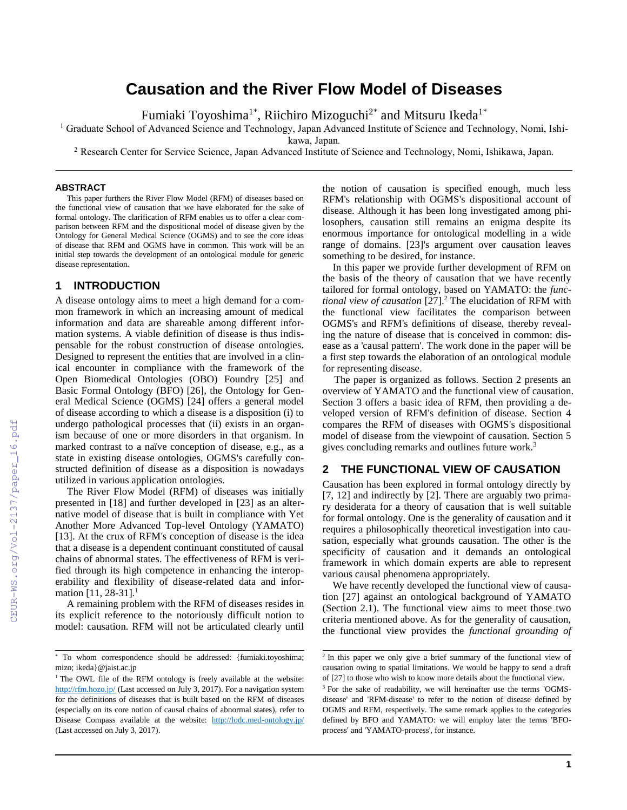# **Causation and the River Flow Model of Diseases**

Fumiaki Toyoshima<sup>1\*</sup>, Riichiro Mizoguchi<sup>2\*</sup> and Mitsuru Ikeda<sup>1\*</sup>

<sup>1</sup> Graduate School of Advanced Science and Technology, Japan Advanced Institute of Science and Technology, Nomi, Ishi-

kawa, Japan*.*

<sup>2</sup> Research Center for Service Science, Japan Advanced Institute of Science and Technology, Nomi, Ishikawa, Japan.

#### **ABSTRACT**

This paper furthers the River Flow Model (RFM) of diseases based on the functional view of causation that we have elaborated for the sake of formal ontology. The clarification of RFM enables us to offer a clear comparison between RFM and the dispositional model of disease given by the Ontology for General Medical Science (OGMS) and to see the core ideas of disease that RFM and OGMS have in common. This work will be an initial step towards the development of an ontological module for generic disease representation.

### **1 INTRODUCTION**

A disease ontology aims to meet a high demand for a common framework in which an increasing amount of medical information and data are shareable among different information systems. A viable definition of disease is thus indispensable for the robust construction of disease ontologies. Designed to represent the entities that are involved in a clinical encounter in compliance with the framework of the Open Biomedical Ontologies (OBO) Foundry [25] and Basic Formal Ontology (BFO) [26], the Ontology for General Medical Science (OGMS) [24] offers a general model of disease according to which a disease is a disposition (i) to undergo pathological processes that (ii) exists in an organism because of one or more disorders in that organism. In marked contrast to a naïve conception of disease, e.g., as a state in existing disease ontologies, OGMS's carefully constructed definition of disease as a disposition is nowadays utilized in various application ontologies.

The River Flow Model (RFM) of diseases was initially presented in [18] and further developed in [23] as an alternative model of disease that is built in compliance with Yet Another More Advanced Top-level Ontology (YAMATO) [13]. At the crux of RFM's conception of disease is the idea that a disease is a dependent continuant constituted of causal chains of abnormal states. The effectiveness of RFM is verified through its high competence in enhancing the interoperability and flexibility of disease-related data and information  $[11, 28-31]$ .<sup>1</sup>

A remaining problem with the RFM of diseases resides in its explicit reference to the notoriously difficult notion to model: causation. RFM will not be articulated clearly until the notion of causation is specified enough, much less RFM's relationship with OGMS's dispositional account of disease. Although it has been long investigated among philosophers, causation still remains an enigma despite its enormous importance for ontological modelling in a wide range of domains. [23]'s argument over causation leaves something to be desired, for instance.

In this paper we provide further development of RFM on the basis of the theory of causation that we have recently tailored for formal ontology, based on YAMATO: the *functional view of causation* [27].<sup>2</sup> The elucidation of RFM with the functional view facilitates the comparison between OGMS's and RFM's definitions of disease, thereby revealing the nature of disease that is conceived in common: disease as a 'causal pattern'. The work done in the paper will be a first step towards the elaboration of an ontological module for representing disease.

The paper is organized as follows. Section 2 presents an overview of YAMATO and the functional view of causation. Section 3 offers a basic idea of RFM, then providing a developed version of RFM's definition of disease. Section 4 compares the RFM of diseases with OGMS's dispositional model of disease from the viewpoint of causation. Section 5 gives concluding remarks and outlines future work.<sup>3</sup>

# **2 THE FUNCTIONAL VIEW OF CAUSATION**

Causation has been explored in formal ontology directly by [7, 12] and indirectly by [2]. There are arguably two primary desiderata for a theory of causation that is well suitable for formal ontology. One is the generality of causation and it requires a philosophically theoretical investigation into causation, especially what grounds causation. The other is the specificity of causation and it demands an ontological framework in which domain experts are able to represent various causal phenomena appropriately.

We have recently developed the functional view of causation [27] against an ontological background of YAMATO (Section 2.1). The functional view aims to meet those two criteria mentioned above. As for the generality of causation, the functional view provides the *functional grounding of* 

<sup>\*</sup> To whom correspondence should be addressed: {fumiaki.toyoshima; mizo; ikeda}@jaist.ac.jp

<sup>&</sup>lt;sup>1</sup> The OWL file of the RFM ontology is freely available at the website: <http://rfm.hozo.jp/> (Last accessed on July 3, 2017). For a navigation system for the definitions of diseases that is built based on the RFM of diseases (especially on its core notion of causal chains of abnormal states), refer to Disease Compass available at the website: <http://lodc.med-ontology.jp/> (Last accessed on July 3, 2017).

<sup>&</sup>lt;sup>2</sup> In this paper we only give a brief summary of the functional view of causation owing to spatial limitations. We would be happy to send a draft of [27] to those who wish to know more details about the functional view.

<sup>&</sup>lt;sup>3</sup> For the sake of readability, we will hereinafter use the terms 'OGMSdisease' and 'RFM-disease' to refer to the notion of disease defined by OGMS and RFM, respectively. The same remark applies to the categories defined by BFO and YAMATO: we will employ later the terms 'BFOprocess' and 'YAMATO-process', for instance.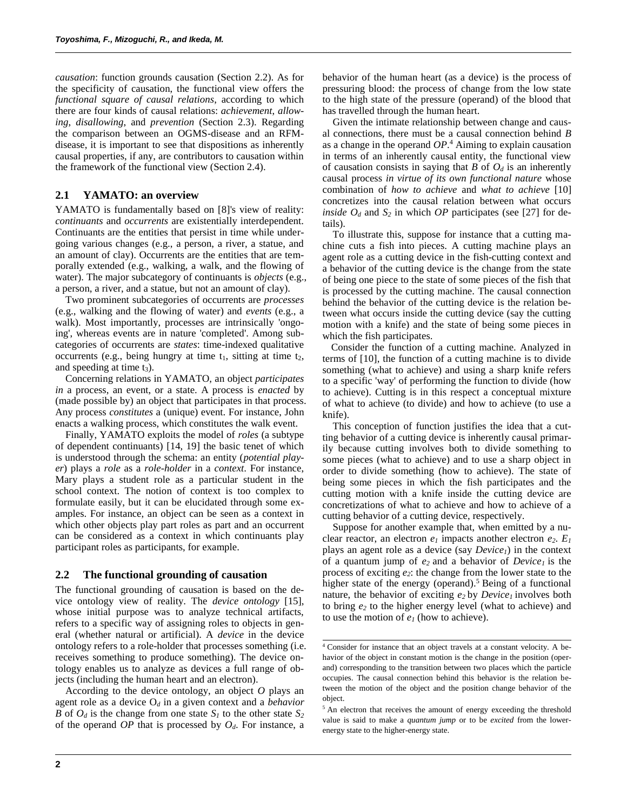*causation*: function grounds causation (Section 2.2). As for the specificity of causation, the functional view offers the *functional square of causal relations*, according to which there are four kinds of causal relations: *achievement*, *allowing*, *disallowing*, and *prevention* (Section 2.3). Regarding the comparison between an OGMS-disease and an RFMdisease, it is important to see that dispositions as inherently causal properties, if any, are contributors to causation within the framework of the functional view (Section 2.4).

#### **2.1 YAMATO: an overview**

YAMATO is fundamentally based on [8]'s view of reality: *continuants* and *occurrents* are existentially interdependent. Continuants are the entities that persist in time while undergoing various changes (e.g., a person, a river, a statue, and an amount of clay). Occurrents are the entities that are temporally extended (e.g., walking, a walk, and the flowing of water). The major subcategory of continuants is *objects* (e.g., a person, a river, and a statue, but not an amount of clay).

Two prominent subcategories of occurrents are *processes* (e.g., walking and the flowing of water) and *events* (e.g., a walk). Most importantly, processes are intrinsically 'ongoing', whereas events are in nature 'completed'. Among subcategories of occurrents are *states*: time-indexed qualitative occurrents (e.g., being hungry at time  $t_1$ , sitting at time  $t_2$ , and speeding at time  $t_3$ ).

Concerning relations in YAMATO, an object *participates in* a process, an event, or a state. A process is *enacted* by (made possible by) an object that participates in that process. Any process *constitutes* a (unique) event. For instance, John enacts a walking process, which constitutes the walk event.

Finally, YAMATO exploits the model of *roles* (a subtype of dependent continuants) [14, 19] the basic tenet of which is understood through the schema: an entity (*potential player*) plays a *role* as a *role-holder* in a *context*. For instance, Mary plays a student role as a particular student in the school context. The notion of context is too complex to formulate easily, but it can be elucidated through some examples. For instance, an object can be seen as a context in which other objects play part roles as part and an occurrent can be considered as a context in which continuants play participant roles as participants, for example.

#### **2.2 The functional grounding of causation**

The functional grounding of causation is based on the device ontology view of reality. The *device ontology* [15], whose initial purpose was to analyze technical artifacts, refers to a specific way of assigning roles to objects in general (whether natural or artificial). A *device* in the device ontology refers to a role-holder that processes something (i.e. receives something to produce something). The device ontology enables us to analyze as devices a full range of objects (including the human heart and an electron).

According to the device ontology, an object *O* plays an agent role as a device O*<sup>d</sup>* in a given context and a *behavior B* of  $O_d$  is the change from one state  $S_l$  to the other state  $S_2$ of the operand *OP* that is processed by *Od*. For instance, a behavior of the human heart (as a device) is the process of pressuring blood: the process of change from the low state to the high state of the pressure (operand) of the blood that has travelled through the human heart.

Given the intimate relationship between change and causal connections, there must be a causal connection behind *B* as a change in the operand *OP*. <sup>4</sup> Aiming to explain causation in terms of an inherently causal entity, the functional view of causation consists in saying that *B* of  $O_d$  is an inherently causal process *in virtue of its own functional nature* whose combination of *how to achieve* and *what to achieve* [10] concretizes into the causal relation between what occurs *inside*  $O_d$  and  $S_2$  in which *OP* participates (see [27] for details).

To illustrate this, suppose for instance that a cutting machine cuts a fish into pieces. A cutting machine plays an agent role as a cutting device in the fish-cutting context and a behavior of the cutting device is the change from the state of being one piece to the state of some pieces of the fish that is processed by the cutting machine. The causal connection behind the behavior of the cutting device is the relation between what occurs inside the cutting device (say the cutting motion with a knife) and the state of being some pieces in which the fish participates.

Consider the function of a cutting machine. Analyzed in terms of [10], the function of a cutting machine is to divide something (what to achieve) and using a sharp knife refers to a specific 'way' of performing the function to divide (how to achieve). Cutting is in this respect a conceptual mixture of what to achieve (to divide) and how to achieve (to use a knife).

This conception of function justifies the idea that a cutting behavior of a cutting device is inherently causal primarily because cutting involves both to divide something to some pieces (what to achieve) and to use a sharp object in order to divide something (how to achieve). The state of being some pieces in which the fish participates and the cutting motion with a knife inside the cutting device are concretizations of what to achieve and how to achieve of a cutting behavior of a cutting device, respectively.

Suppose for another example that, when emitted by a nuclear reactor, an electron  $e_1$  impacts another electron  $e_2$ .  $E_1$ plays an agent role as a device (say *Device1*) in the context of a quantum jump of *e2* and a behavior of *Device1* is the process of exciting *e2*: the change from the lower state to the higher state of the energy (operand).<sup>5</sup> Being of a functional nature, the behavior of exciting *e2* by *Device1* involves both to bring *e<sup>2</sup>* to the higher energy level (what to achieve) and to use the motion of *e<sup>1</sup>* (how to achieve).

<sup>4</sup> Consider for instance that an object travels at a constant velocity. A behavior of the object in constant motion is the change in the position (operand) corresponding to the transition between two places which the particle occupies. The causal connection behind this behavior is the relation between the motion of the object and the position change behavior of the object.

<sup>&</sup>lt;sup>5</sup> An electron that receives the amount of energy exceeding the threshold value is said to make a *quantum jump* or to be *excited* from the lowerenergy state to the higher-energy state.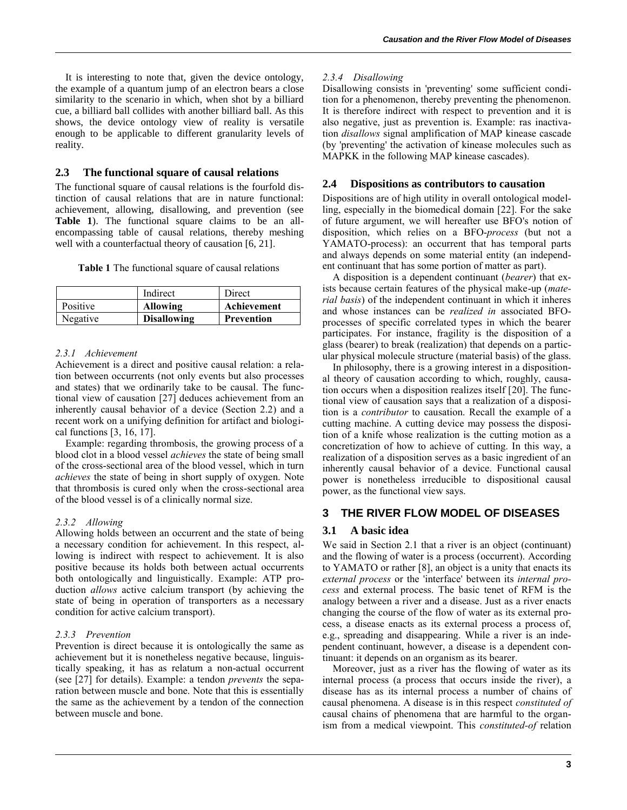It is interesting to note that, given the device ontology, the example of a quantum jump of an electron bears a close similarity to the scenario in which, when shot by a billiard cue, a billiard ball collides with another billiard ball. As this shows, the device ontology view of reality is versatile enough to be applicable to different granularity levels of reality.

# **2.3 The functional square of causal relations**

The functional square of causal relations is the fourfold distinction of causal relations that are in nature functional: achievement, allowing, disallowing, and prevention (see **Table 1**). The functional square claims to be an allencompassing table of causal relations, thereby meshing well with a counterfactual theory of causation [6, 21].

**Table 1** The functional square of causal relations

|          | Indirect           | Direct      |
|----------|--------------------|-------------|
| Positive | <b>Allowing</b>    | Achievement |
| Negative | <b>Disallowing</b> | Prevention  |

# *2.3.1 Achievement*

Achievement is a direct and positive causal relation: a relation between occurrents (not only events but also processes and states) that we ordinarily take to be causal. The functional view of causation [27] deduces achievement from an inherently causal behavior of a device (Section 2.2) and a recent work on a unifying definition for artifact and biological functions [3, 16, 17].

Example: regarding thrombosis, the growing process of a blood clot in a blood vessel *achieves* the state of being small of the cross-sectional area of the blood vessel, which in turn *achieves* the state of being in short supply of oxygen. Note that thrombosis is cured only when the cross-sectional area of the blood vessel is of a clinically normal size.

# *2.3.2 Allowing*

Allowing holds between an occurrent and the state of being a necessary condition for achievement. In this respect, allowing is indirect with respect to achievement. It is also positive because its holds both between actual occurrents both ontologically and linguistically. Example: ATP production *allows* active calcium transport (by achieving the state of being in operation of transporters as a necessary condition for active calcium transport).

# *2.3.3 Prevention*

Prevention is direct because it is ontologically the same as achievement but it is nonetheless negative because, linguistically speaking, it has as relatum a non-actual occurrent (see [27] for details). Example: a tendon *prevents* the separation between muscle and bone. Note that this is essentially the same as the achievement by a tendon of the connection between muscle and bone.

# *2.3.4 Disallowing*

Disallowing consists in 'preventing' some sufficient condition for a phenomenon, thereby preventing the phenomenon. It is therefore indirect with respect to prevention and it is also negative, just as prevention is. Example: ras inactivation *disallows* signal amplification of MAP kinease cascade (by 'preventing' the activation of kinease molecules such as MAPKK in the following MAP kinease cascades).

# **2.4 Dispositions as contributors to causation**

Dispositions are of high utility in overall ontological modelling, especially in the biomedical domain [22]. For the sake of future argument, we will hereafter use BFO's notion of disposition, which relies on a BFO-*process* (but not a YAMATO-process): an occurrent that has temporal parts and always depends on some material entity (an independent continuant that has some portion of matter as part).

A disposition is a dependent continuant (*bearer*) that exists because certain features of the physical make-up (*material basis*) of the independent continuant in which it inheres and whose instances can be *realized in* associated BFOprocesses of specific correlated types in which the bearer participates. For instance, fragility is the disposition of a glass (bearer) to break (realization) that depends on a particular physical molecule structure (material basis) of the glass.

In philosophy, there is a growing interest in a dispositional theory of causation according to which, roughly, causation occurs when a disposition realizes itself [20]. The functional view of causation says that a realization of a disposition is a *contributor* to causation. Recall the example of a cutting machine. A cutting device may possess the disposition of a knife whose realization is the cutting motion as a concretization of how to achieve of cutting. In this way, a realization of a disposition serves as a basic ingredient of an inherently causal behavior of a device. Functional causal power is nonetheless irreducible to dispositional causal power, as the functional view says.

# **3 THE RIVER FLOW MODEL OF DISEASES**

# **3.1 A basic idea**

We said in Section 2.1 that a river is an object (continuant) and the flowing of water is a process (occurrent). According to YAMATO or rather [8], an object is a unity that enacts its *external process* or the 'interface' between its *internal process* and external process. The basic tenet of RFM is the analogy between a river and a disease. Just as a river enacts changing the course of the flow of water as its external process, a disease enacts as its external process a process of, e.g., spreading and disappearing. While a river is an independent continuant, however, a disease is a dependent continuant: it depends on an organism as its bearer.

Moreover, just as a river has the flowing of water as its internal process (a process that occurs inside the river), a disease has as its internal process a number of chains of causal phenomena. A disease is in this respect *constituted of* causal chains of phenomena that are harmful to the organism from a medical viewpoint. This *constituted-of* relation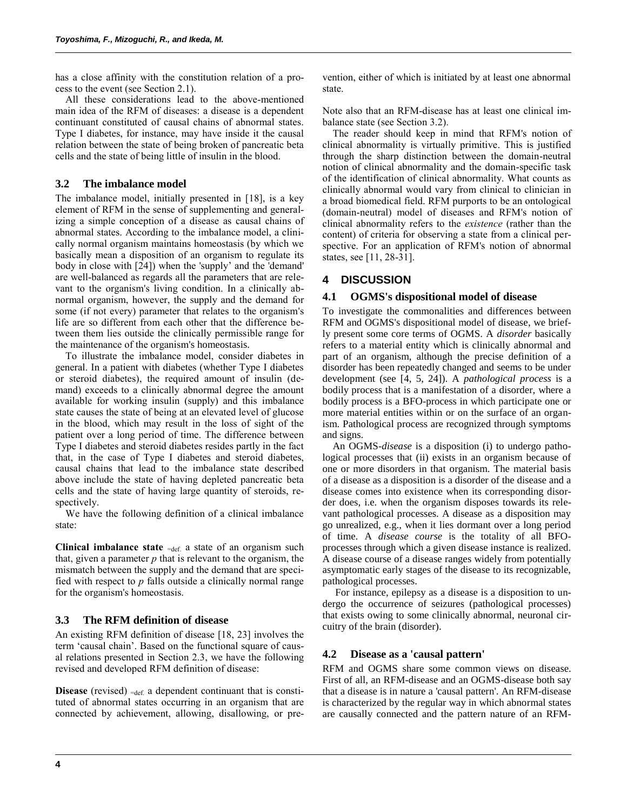has a close affinity with the constitution relation of a process to the event (see Section 2.1).

All these considerations lead to the above-mentioned main idea of the RFM of diseases: a disease is a dependent continuant constituted of causal chains of abnormal states. Type I diabetes, for instance, may have inside it the causal relation between the state of being broken of pancreatic beta cells and the state of being little of insulin in the blood.

# **3.2 The imbalance model**

The imbalance model, initially presented in [18], is a key element of RFM in the sense of supplementing and generalizing a simple conception of a disease as causal chains of abnormal states. According to the imbalance model, a clinically normal organism maintains homeostasis (by which we basically mean a disposition of an organism to regulate its body in close with [24]) when the 'supply' and the 'demand' are well-balanced as regards all the parameters that are relevant to the organism's living condition. In a clinically abnormal organism, however, the supply and the demand for some (if not every) parameter that relates to the organism's life are so different from each other that the difference between them lies outside the clinically permissible range for the maintenance of the organism's homeostasis.

To illustrate the imbalance model, consider diabetes in general. In a patient with diabetes (whether Type I diabetes or steroid diabetes), the required amount of insulin (demand) exceeds to a clinically abnormal degree the amount available for working insulin (supply) and this imbalance state causes the state of being at an elevated level of glucose in the blood, which may result in the loss of sight of the patient over a long period of time. The difference between Type I diabetes and steroid diabetes resides partly in the fact that, in the case of Type I diabetes and steroid diabetes, causal chains that lead to the imbalance state described above include the state of having depleted pancreatic beta cells and the state of having large quantity of steroids, respectively.

We have the following definition of a clinical imbalance state:

**Clinical imbalance state**  $=\text{def}$  a state of an organism such that, given a parameter *p* that is relevant to the organism, the mismatch between the supply and the demand that are specified with respect to *p* falls outside a clinically normal range for the organism's homeostasis.

# **3.3 The RFM definition of disease**

An existing RFM definition of disease [18, 23] involves the term 'causal chain'. Based on the functional square of causal relations presented in Section 2.3, we have the following revised and developed RFM definition of disease:

**Disease** (revised) =def. a dependent continuant that is constituted of abnormal states occurring in an organism that are connected by achievement, allowing, disallowing, or prevention, either of which is initiated by at least one abnormal state.

Note also that an RFM-disease has at least one clinical imbalance state (see Section 3.2).

The reader should keep in mind that RFM's notion of clinical abnormality is virtually primitive. This is justified through the sharp distinction between the domain-neutral notion of clinical abnormality and the domain-specific task of the identification of clinical abnormality. What counts as clinically abnormal would vary from clinical to clinician in a broad biomedical field. RFM purports to be an ontological (domain-neutral) model of diseases and RFM's notion of clinical abnormality refers to the *existence* (rather than the content) of criteria for observing a state from a clinical perspective. For an application of RFM's notion of abnormal states, see [11, 28-31].

# **4 DISCUSSION**

# **4.1 OGMS's dispositional model of disease**

To investigate the commonalities and differences between RFM and OGMS's dispositional model of disease, we briefly present some core terms of OGMS. A *disorder* basically refers to a material entity which is clinically abnormal and part of an organism, although the precise definition of a disorder has been repeatedly changed and seems to be under development (see [4, 5, 24]). A *pathological process* is a bodily process that is a manifestation of a disorder, where a bodily process is a BFO-process in which participate one or more material entities within or on the surface of an organism. Pathological process are recognized through symptoms and signs.

An OGMS-*disease* is a disposition (i) to undergo pathological processes that (ii) exists in an organism because of one or more disorders in that organism. The material basis of a disease as a disposition is a disorder of the disease and a disease comes into existence when its corresponding disorder does, i.e. when the organism disposes towards its relevant pathological processes. A disease as a disposition may go unrealized, e.g., when it lies dormant over a long period of time. A *disease course* is the totality of all BFOprocesses through which a given disease instance is realized. A disease course of a disease ranges widely from potentially asymptomatic early stages of the disease to its recognizable, pathological processes.

For instance, epilepsy as a disease is a disposition to undergo the occurrence of seizures (pathological processes) that exists owing to some clinically abnormal, neuronal circuitry of the brain (disorder).

# **4.2 Disease as a 'causal pattern'**

RFM and OGMS share some common views on disease. First of all, an RFM-disease and an OGMS-disease both say that a disease is in nature a 'causal pattern'. An RFM-disease is characterized by the regular way in which abnormal states are causally connected and the pattern nature of an RFM-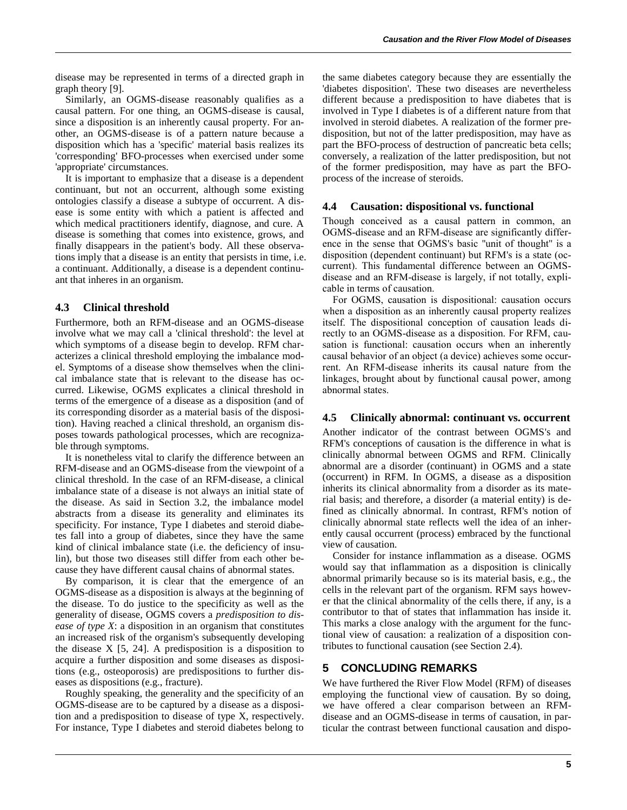disease may be represented in terms of a directed graph in graph theory [9].

Similarly, an OGMS-disease reasonably qualifies as a causal pattern. For one thing, an OGMS-disease is causal, since a disposition is an inherently causal property. For another, an OGMS-disease is of a pattern nature because a disposition which has a 'specific' material basis realizes its 'corresponding' BFO-processes when exercised under some 'appropriate' circumstances.

It is important to emphasize that a disease is a dependent continuant, but not an occurrent, although some existing ontologies classify a disease a subtype of occurrent. A disease is some entity with which a patient is affected and which medical practitioners identify, diagnose, and cure. A disease is something that comes into existence, grows, and finally disappears in the patient's body. All these observations imply that a disease is an entity that persists in time, i.e. a continuant. Additionally, a disease is a dependent continuant that inheres in an organism.

### **4.3 Clinical threshold**

Furthermore, both an RFM-disease and an OGMS-disease involve what we may call a 'clinical threshold': the level at which symptoms of a disease begin to develop. RFM characterizes a clinical threshold employing the imbalance model. Symptoms of a disease show themselves when the clinical imbalance state that is relevant to the disease has occurred. Likewise, OGMS explicates a clinical threshold in terms of the emergence of a disease as a disposition (and of its corresponding disorder as a material basis of the disposition). Having reached a clinical threshold, an organism disposes towards pathological processes, which are recognizable through symptoms.

It is nonetheless vital to clarify the difference between an RFM-disease and an OGMS-disease from the viewpoint of a clinical threshold. In the case of an RFM-disease, a clinical imbalance state of a disease is not always an initial state of the disease. As said in Section 3.2, the imbalance model abstracts from a disease its generality and eliminates its specificity. For instance, Type I diabetes and steroid diabetes fall into a group of diabetes, since they have the same kind of clinical imbalance state (i.e. the deficiency of insulin), but those two diseases still differ from each other because they have different causal chains of abnormal states.

By comparison, it is clear that the emergence of an OGMS-disease as a disposition is always at the beginning of the disease. To do justice to the specificity as well as the generality of disease, OGMS covers a *predisposition to disease of type X*: a disposition in an organism that constitutes an increased risk of the organism's subsequently developing the disease  $X$  [5, 24]. A predisposition is a disposition to acquire a further disposition and some diseases as dispositions (e.g., osteoporosis) are predispositions to further diseases as dispositions (e.g., fracture).

Roughly speaking, the generality and the specificity of an OGMS-disease are to be captured by a disease as a disposition and a predisposition to disease of type X, respectively. For instance, Type I diabetes and steroid diabetes belong to the same diabetes category because they are essentially the 'diabetes disposition'. These two diseases are nevertheless different because a predisposition to have diabetes that is involved in Type I diabetes is of a different nature from that involved in steroid diabetes. A realization of the former predisposition, but not of the latter predisposition, may have as part the BFO-process of destruction of pancreatic beta cells; conversely, a realization of the latter predisposition, but not of the former predisposition, may have as part the BFOprocess of the increase of steroids.

#### **4.4 Causation: dispositional vs. functional**

Though conceived as a causal pattern in common, an OGMS-disease and an RFM-disease are significantly difference in the sense that OGMS's basic ''unit of thought'' is a disposition (dependent continuant) but RFM's is a state (occurrent). This fundamental difference between an OGMSdisease and an RFM-disease is largely, if not totally, explicable in terms of causation.

For OGMS, causation is dispositional: causation occurs when a disposition as an inherently causal property realizes itself. The dispositional conception of causation leads directly to an OGMS-disease as a disposition. For RFM, causation is functional: causation occurs when an inherently causal behavior of an object (a device) achieves some occurrent. An RFM-disease inherits its causal nature from the linkages, brought about by functional causal power, among abnormal states.

#### **4.5 Clinically abnormal: continuant vs. occurrent**

Another indicator of the contrast between OGMS's and RFM's conceptions of causation is the difference in what is clinically abnormal between OGMS and RFM. Clinically abnormal are a disorder (continuant) in OGMS and a state (occurrent) in RFM. In OGMS, a disease as a disposition inherits its clinical abnormality from a disorder as its material basis; and therefore, a disorder (a material entity) is defined as clinically abnormal. In contrast, RFM's notion of clinically abnormal state reflects well the idea of an inherently causal occurrent (process) embraced by the functional view of causation.

Consider for instance inflammation as a disease. OGMS would say that inflammation as a disposition is clinically abnormal primarily because so is its material basis, e.g., the cells in the relevant part of the organism. RFM says however that the clinical abnormality of the cells there, if any, is a contributor to that of states that inflammation has inside it. This marks a close analogy with the argument for the functional view of causation: a realization of a disposition contributes to functional causation (see Section 2.4).

#### **5 CONCLUDING REMARKS**

We have furthered the River Flow Model (RFM) of diseases employing the functional view of causation. By so doing, we have offered a clear comparison between an RFMdisease and an OGMS-disease in terms of causation, in particular the contrast between functional causation and dispo